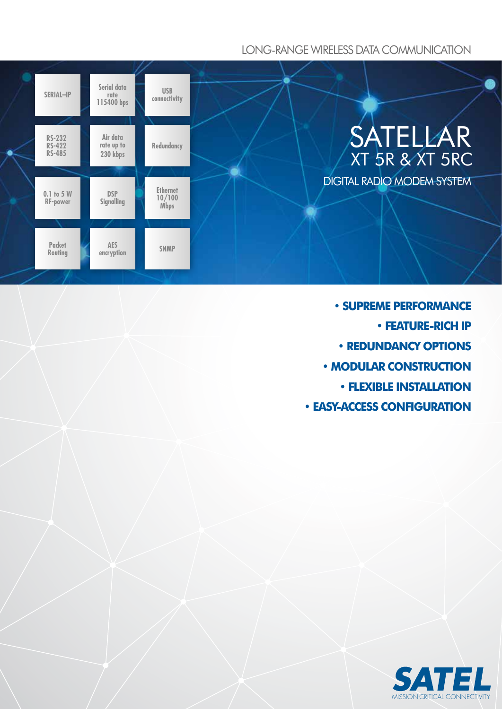# LONG-RANGE WIRELESS DATA COMMUNICATION



- **SUPREME PERFORMANCE • FEATURE-RICH IP • REDUNDANCY OPTIONS • MODULAR CONSTRUCTION • FLEXIBLE INSTALLATION**
- **EASY-ACCESS CONFIGURATION**

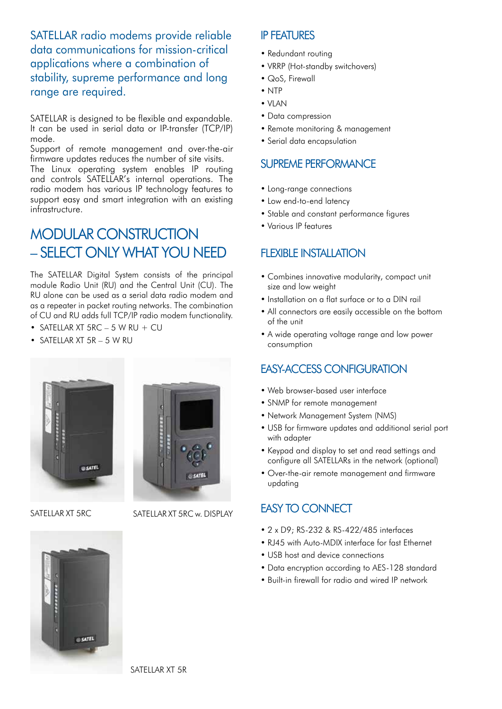SATELLAR radio modems provide reliable data communications for mission-critical applications where a combination of stability, supreme performance and long range are required.

SATELLAR is designed to be flexible and expandable. It can be used in serial data or IP-transfer (TCP/IP) mode.

Support of remote management and over-the-air firmware updates reduces the number of site visits.

The Linux operating system enables IP routing and controls SATELLAR's internal operations. The radio modem has various IP technology features to support easy and smart integration with an existing infrastructure.

# **MODULAR CONSTRUCTION** – SELECT ONLY WHAT YOU NEED

The SATELLAR Digital System consists of the principal module Radio Unit (RU) and the Central Unit (CU). The RU alone can be used as a serial data radio modem and as a repeater in packet routing networks. The combination of CU and RU adds full TCP/IP radio modem functionality.

- SATELLAR XT  $5RC 5$  W RU + CU
- SATELLAR XT 5R 5 W RU



SATELLAR XT 5RC SATELLAR XT 5RC w. DISPLAY

## IP FEATURES

- Redundant routing
- VRRP (Hot-standby switchovers)
- QoS, Firewall
- NTP
- VLAN
- Data compression
- Remote monitoring & management
- Serial data encapsulation

## SUPREME PERFORMANCE

- Long-range connections
- Low end-to-end latency
- Stable and constant performance figures
- 

# FI FXIBI F INSTALLATION

- Combines innovative modularity, compact unit size and low weight
- Installation on a flat surface or to a DIN rail
- All connectors are easily accessible on the bottom of the unit
- A wide operating voltage range and low power consumption

# EASY-ACCESS CONFIGURATION

- Web browser-based user interface
- SNMP for remote management
- Network Management System (NMS)
- USB for firmware updates and additional serial port with adapter
- Keypad and display to set and read settings and configure all SATELLARs in the network (optional)
- Over-the-air remote management and firmware updating

# EASY TO CONNECT

- 2 x D9; RS-232 & RS-422/485 interfaces
- RJ45 with Auto-MDIX interface for fast Ethernet
- USB host and device connections
- Data encryption according to AES-128 standard
- Built-in firewall for radio and wired IP network

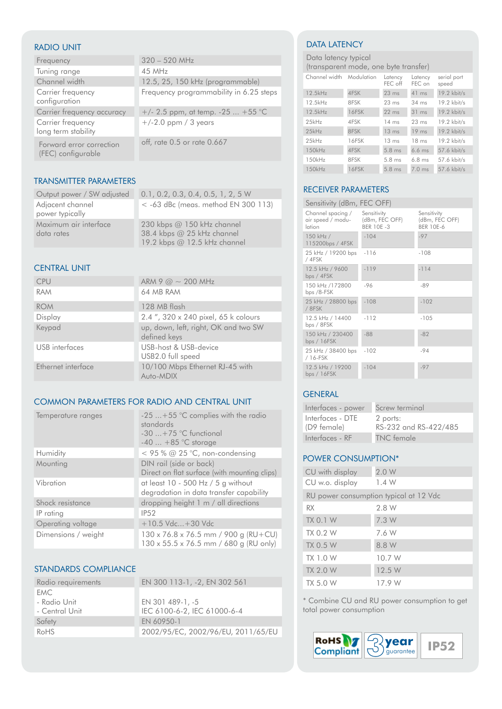#### RADIO UNIT

| Frequency                                      | $320 - 520$ MHz                         |
|------------------------------------------------|-----------------------------------------|
| Tuning range                                   | 45 MHz                                  |
| Channel width                                  | 12.5, 25, 150 kHz (programmable)        |
| Carrier frequency<br>configuration             | Frequency programmability in 6.25 steps |
| Carrier frequency accuracy                     | $+/- 2.5$ ppm, at temp. $-25$ $+55$ °C  |
| Carrier frequency<br>long term stability       | $+/-2.0$ ppm / 3 years                  |
| Forward error correction<br>(FEC) configurable | off, rate 0.5 or rate 0.667             |

#### TRANSMITTER PARAMETERS

|                                     | Output power / SW adjusted 0.1, 0.2, 0.3, 0.4, 0.5, 1, 2, 5 W |
|-------------------------------------|---------------------------------------------------------------|
| Adjacent channel<br>power typically | $<$ -63 dBc (meas. method EN 300 113)                         |
| Maximum air interface<br>data rates | 230 kbps @ 150 kHz channel<br>38.4 kbps @ 25 kHz channel      |
|                                     | 19.2 kbps @ 12.5 kHz channel                                  |

#### CENTRAL UNIT

| <b>CPU</b>         | ARM 9 $\omega \sim 200$ MHz                          |
|--------------------|------------------------------------------------------|
| <b>RAM</b>         | 64 MB RAM                                            |
| <b>ROM</b>         | 128 MB flash                                         |
| Display            | 2.4", 320 x 240 pixel, 65 k colours                  |
| Keypad             | up, down, left, right, OK and two SW<br>defined keys |
| USB interfaces     | USB-host & USB-device<br>USB2.0 full speed           |
| Ethernet interface | 10/100 Mbps Ethernet RJ-45 with<br>Auto-MDIX         |

#### COMMON PARAMETERS FOR RADIO AND CENTRAL UNIT

| Temperature ranges  | $-25$ +55 °C complies with the radio<br>standards<br>$-30$ $+75$ °C functional<br>$-40$ $+85$ °C storage |
|---------------------|----------------------------------------------------------------------------------------------------------|
| Humidity            | $<$ 95 % @ 25 °C, non-condensing                                                                         |
| Mounting            | DIN rail (side or back)<br>Direct on flat surface (with mounting clips)                                  |
| Vibration           | at least 10 - 500 Hz / 5 g without<br>degradation in data transfer capability                            |
| Shock resistance    | dropping height 1 m / all directions                                                                     |
| IP rating           | <b>IP52</b>                                                                                              |
| Operating voltage   | +10.5 Vdc+30 Vdc                                                                                         |
| Dimensions / weight | $130 \times 76.8 \times 76.5$ mm / 900 g (RU+CU)<br>130 x 55.5 x 76.5 mm / 680 g (RU only)               |

## STANDARDS COMPLIANCE

| Radio requirements | EN 300 113-1, -2, EN 302 561       |
|--------------------|------------------------------------|
| FMC.               |                                    |
| - Radio Unit       | EN 301 489-1, -5                   |
| - Central Unit     | IEC 6100-6-2, IEC 61000-6-4        |
| Safety             | FN 60950-1                         |
| RoHS               | 2002/95/EC, 2002/96/EU, 2011/65/EU |

## DATA LATENCY

Data latency typical

| (transparent mode, one byte transfer)                |  |  |
|------------------------------------------------------|--|--|
| Channel width Modulation Latency Latency serial port |  |  |

|          | .     | FEC off          | -------<br>FEC on | .<br>speed    |
|----------|-------|------------------|-------------------|---------------|
| 12.5kHz  | 4FSK  | $23$ ms          | $41$ ms           | 19.2 kbit/s   |
| 12.5kHz  | 8FSK  | $23 \text{ ms}$  | $34 \text{ ms}$   | 19.2 kbit/s   |
| 12.5kHz  | 16FSK | $22$ ms          | 31 ms             | $19.2$ kbit/s |
| $25$ kHz | 4FSK  | $14 \text{ ms}$  | $23 \text{ ms}$   | $19.2$ kbit/s |
| 25kHz    | 8FSK  | 13 <sub>ms</sub> | $19$ ms           | 19.2 kbit/s   |
| $25$ kHz | 16FSK | $13 \text{ ms}$  | 18 <sub>ms</sub>  | $19.2$ kbit/s |
| 150kHz   | 4FSK  | $5.8$ ms         | $6.6$ ms          | 57.6 kbit/s   |
| 150kHz   | 8FSK  | $5.8$ ms         | $6.8$ ms          | 57.6 kbit/s   |
| 150kHz   | 16FSK | $5.8$ ms         | $7.0$ ms          | 57.6 kbit/s   |

## RECEIVER PARAMETERS

| Sensitivity (dBm, FEC OFF)                       |                                                   |                                                   |  |
|--------------------------------------------------|---------------------------------------------------|---------------------------------------------------|--|
| Channel spacing /<br>air speed / modu-<br>lation | Sensitivity<br>(dBm, FEC OFF)<br><b>BER 10E-3</b> | Sensitivity<br>(dBm, FEC OFF)<br><b>BER 10E-6</b> |  |
| 150 kHz /<br>115200bps / 4FSK                    | $-104$                                            | $-97$                                             |  |
| 25 kHz / 19200 bps -116<br>/ 4FSK                |                                                   | $-108$                                            |  |
| 12.5 kHz / 9600<br>bps / $4FSK$                  | $-119$                                            | $-114$                                            |  |
| 150 kHz /172800<br>bps /8-FSK                    | $-96$                                             | -89                                               |  |
| 25 kHz / 28800 bps<br>/ 8FSK                     | $-108$                                            | $-102$                                            |  |
| 12.5 kHz / 14400<br>bps / 8FSK                   | $-112$                                            | $-105$                                            |  |
| 150 kHz / 230400<br>bps / 16FSK                  | $-88$                                             | $-82$                                             |  |
| 25 kHz / 38400 bps<br>/ 16-FSK                   | $-102$                                            | $-94$                                             |  |
| 12.5 kHz / 19200<br>bps / 16FSK                  | $-104$                                            | $-97$                                             |  |

### GENERAL

| Interfaces - power              | Screw terminal                    |
|---------------------------------|-----------------------------------|
| Interfaces - DTE<br>(D9 female) | 2 ports:<br>RS-232 and RS-422/485 |
| Interfaces - RF                 | TNC female                        |

## POWER CONSUMPTION\*

| CU with display                        | 2.0W   |  |
|----------------------------------------|--------|--|
| CU w.o. display                        | 1.4W   |  |
| RU power consumption typical at 12 Vdc |        |  |
| <b>RX</b>                              | 2.8 W  |  |
| <b>TX 0.1 W</b>                        | 7.3 W  |  |
| TX 0.2 W                               | 7.6 W  |  |
| <b>TX 0.5 W</b>                        | 8.8 W  |  |
| TX 1.0 W                               | 10.7 W |  |
| <b>TX 2.0 W</b>                        | 12.5 W |  |
| TX 5.0 W                               | 17.9 W |  |

\* Combine CU and RU power consumption to get total power consumption